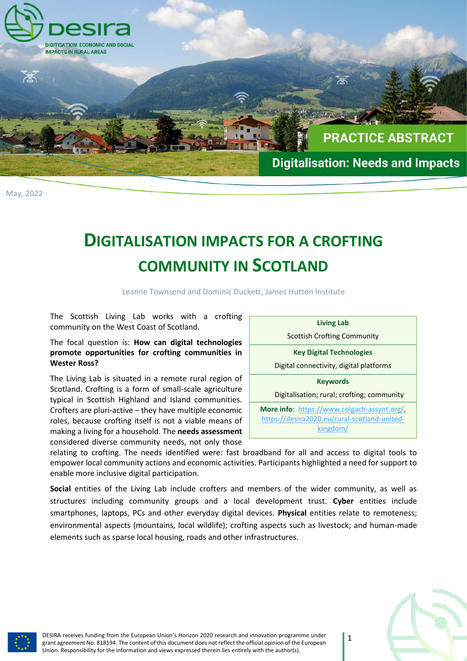

## **DIGITALISATION IMPACTS FOR A CROFTING COMMUNITY IN SCOTLAND**

Leanne Townsend and Dominic Duckett, James Hutton Institute

The Scottish Living Lab works with a crofting community on the West Coast of Scotland.

## The focal question is: **How can digital technologies promote opportunities for crofting communities in Wester Ross?**

The Living Lab is situated in a remote rural region of Scotland. Crofting is a form of small-scale agriculture typical in Scottish Highland and Island communities. Crofters are pluri-active – they have multiple economic roles, because crofting itself is not a viable means of making a living for a household. The **needs assessment**  considered diverse community needs, not only those



relating to crofting. The needs identified were: fast broadband for all and access to digital tools to empower local community actions and economic activities. Participants highlighted a need for support to enable more inclusive digital participation.

**Social** entities of the Living Lab include crofters and members of the wider community, as well as structures including community groups and a local development trust. **Cyber** entities include smartphones, laptops, PCs and other everyday digital devices. **Physical** entities relate to remoteness; environmental aspects (mountains, local wildlife); crofting aspects such as livestock; and human-made elements such as sparse local housing, roads and other infrastructures.